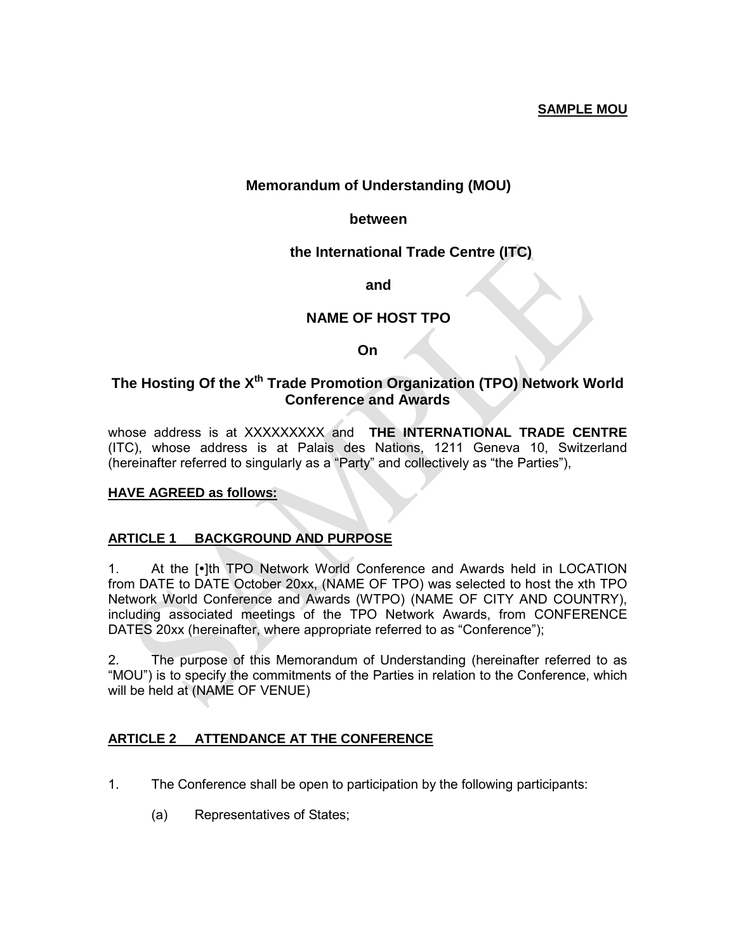## **SAMPLE MOU**

## **Memorandum of Understanding (MOU)**

### **between**

## **the International Trade Centre (ITC)**

**and**

### **NAME OF HOST TPO**

**On** 

## **The Hosting Of the Xth Trade Promotion Organization (TPO) Network World Conference and Awards**

whose address is at XXXXXXXXX and **THE INTERNATIONAL TRADE CENTRE** (ITC), whose address is at Palais des Nations, 1211 Geneva 10, Switzerland (hereinafter referred to singularly as a "Party" and collectively as "the Parties"),

#### **HAVE AGREED as follows:**

### **ARTICLE 1 BACKGROUND AND PURPOSE**

1. At the [.]th TPO Network World Conference and Awards held in LOCATION from DATE to DATE October 20xx, (NAME OF TPO) was selected to host the xth TPO Network World Conference and Awards (WTPO) (NAME OF CITY AND COUNTRY), including associated meetings of the TPO Network Awards, from CONFERENCE DATES 20xx (hereinafter, where appropriate referred to as "Conference");

2. The purpose of this Memorandum of Understanding (hereinafter referred to as "MOU") is to specify the commitments of the Parties in relation to the Conference, which will be held at (NAME OF VENUE)

### **ARTICLE 2 ATTENDANCE AT THE CONFERENCE**

- 1. The Conference shall be open to participation by the following participants:
	- (a) Representatives of States;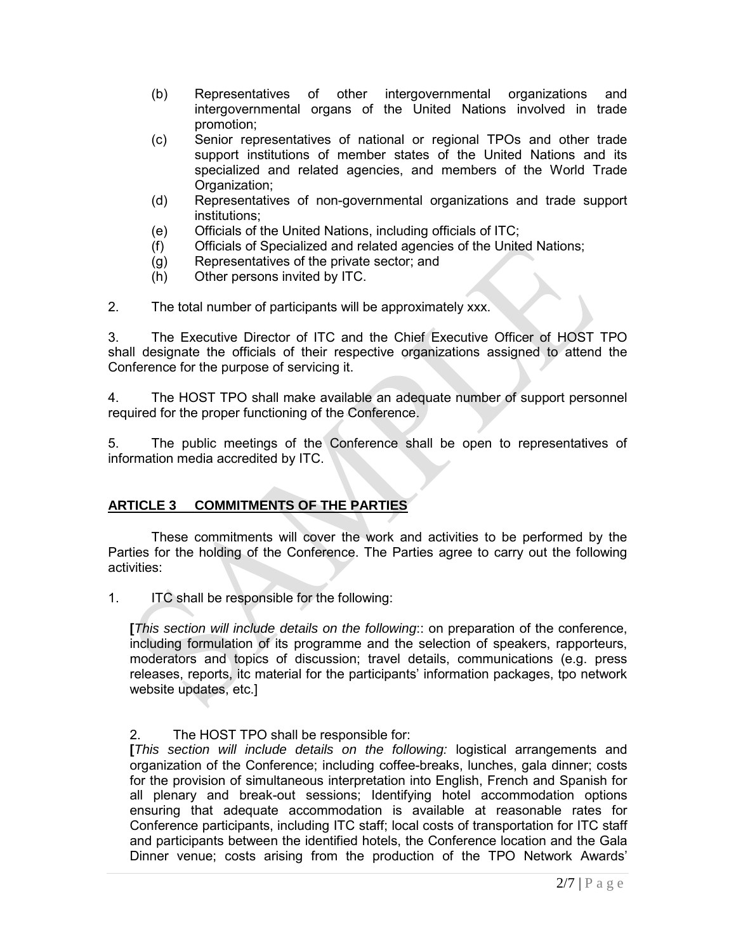- (b) Representatives of other intergovernmental organizations and intergovernmental organs of the United Nations involved in trade promotion;
- (c) Senior representatives of national or regional TPOs and other trade support institutions of member states of the United Nations and its specialized and related agencies, and members of the World Trade Organization;
- (d) Representatives of non-governmental organizations and trade support institutions;
- (e) Officials of the United Nations, including officials of ITC;
- Officials of Specialized and related agencies of the United Nations;
- (g) Representatives of the private sector; and
- (h) Other persons invited by ITC.

2. The total number of participants will be approximately xxx.

3. The Executive Director of ITC and the Chief Executive Officer of HOST TPO shall designate the officials of their respective organizations assigned to attend the Conference for the purpose of servicing it.

4. The HOST TPO shall make available an adequate number of support personnel required for the proper functioning of the Conference.

5. The public meetings of the Conference shall be open to representatives of information media accredited by ITC.

## **ARTICLE 3 COMMITMENTS OF THE PARTIES**

These commitments will cover the work and activities to be performed by the Parties for the holding of the Conference. The Parties agree to carry out the following activities:

1. ITC shall be responsible for the following:

**[***This section will include details on the following*:: on preparation of the conference, including formulation of its programme and the selection of speakers, rapporteurs, moderators and topics of discussion; travel details, communications (e.g. press releases, reports, itc material for the participants' information packages, tpo network website updates, etc.]

### 2. The HOST TPO shall be responsible for:

**[***This section will include details on the following:* logistical arrangements and organization of the Conference; including coffee-breaks, lunches, gala dinner; costs for the provision of simultaneous interpretation into English, French and Spanish for all plenary and break-out sessions; Identifying hotel accommodation options ensuring that adequate accommodation is available at reasonable rates for Conference participants, including ITC staff; local costs of transportation for ITC staff and participants between the identified hotels, the Conference location and the Gala Dinner venue; costs arising from the production of the TPO Network Awards'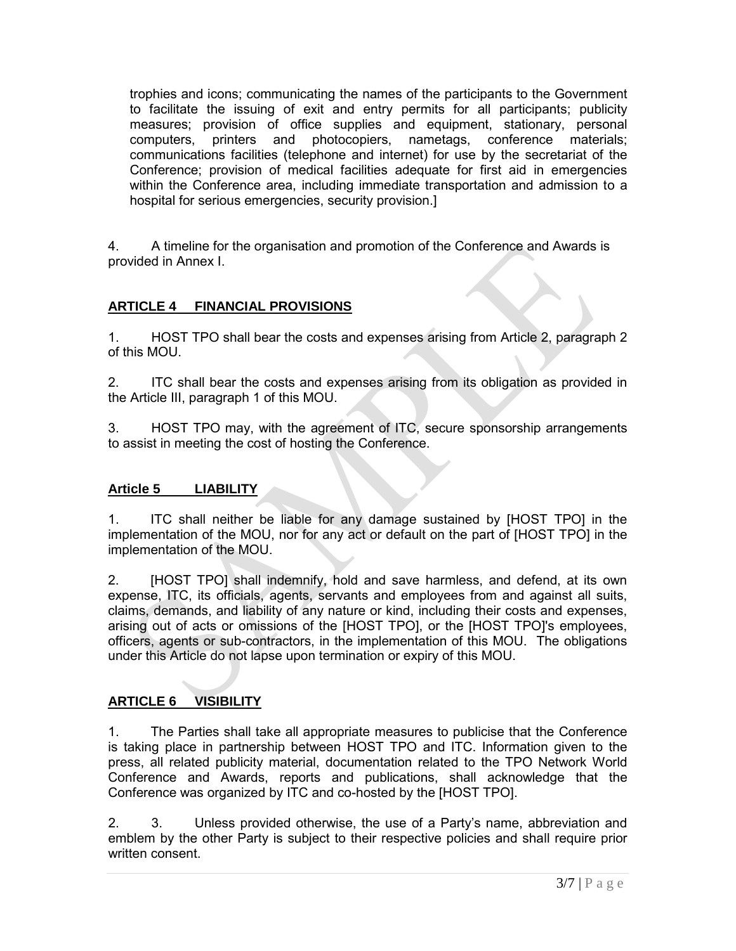trophies and icons; communicating the names of the participants to the Government to facilitate the issuing of exit and entry permits for all participants; publicity measures; provision of office supplies and equipment, stationary, personal computers, printers and photocopiers, nametags, conference materials; communications facilities (telephone and internet) for use by the secretariat of the Conference; provision of medical facilities adequate for first aid in emergencies within the Conference area, including immediate transportation and admission to a hospital for serious emergencies, security provision.]

4. A timeline for the organisation and promotion of the Conference and Awards is provided in Annex I.

# **ARTICLE 4 FINANCIAL PROVISIONS**

1. HOST TPO shall bear the costs and expenses arising from Article 2, paragraph 2 of this MOU.

2. ITC shall bear the costs and expenses arising from its obligation as provided in the Article III, paragraph 1 of this MOU.

3. HOST TPO may, with the agreement of ITC, secure sponsorship arrangements to assist in meeting the cost of hosting the Conference.

## **Article 5 LIABILITY**

1. ITC shall neither be liable for any damage sustained by [HOST TPO] in the implementation of the MOU, nor for any act or default on the part of [HOST TPO] in the implementation of the MOU.

2. [HOST TPO] shall indemnify, hold and save harmless, and defend, at its own expense, ITC, its officials, agents, servants and employees from and against all suits, claims, demands, and liability of any nature or kind, including their costs and expenses, arising out of acts or omissions of the [HOST TPO], or the [HOST TPO]'s employees, officers, agents or sub-contractors, in the implementation of this MOU. The obligations under this Article do not lapse upon termination or expiry of this MOU.

## **ARTICLE 6 VISIBILITY**

1. The Parties shall take all appropriate measures to publicise that the Conference is taking place in partnership between HOST TPO and ITC. Information given to the press, all related publicity material, documentation related to the TPO Network World Conference and Awards, reports and publications, shall acknowledge that the Conference was organized by ITC and co-hosted by the [HOST TPO].

2. 3. Unless provided otherwise, the use of a Party's name, abbreviation and emblem by the other Party is subject to their respective policies and shall require prior written consent.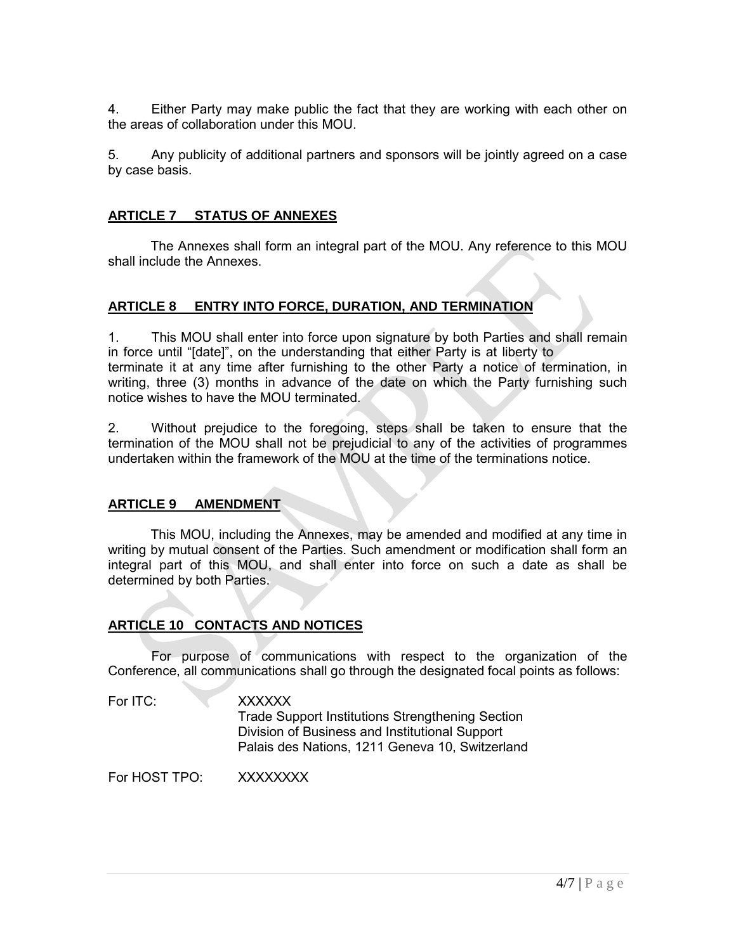4. Either Party may make public the fact that they are working with each other on the areas of collaboration under this MOU.

5. Any publicity of additional partners and sponsors will be jointly agreed on a case by case basis.

## **ARTICLE 7 STATUS OF ANNEXES**

The Annexes shall form an integral part of the MOU. Any reference to this MOU shall include the Annexes.

# **ARTICLE 8 ENTRY INTO FORCE, DURATION, AND TERMINATION**

1. This MOU shall enter into force upon signature by both Parties and shall remain in force until "[date]", on the understanding that either Party is at liberty to terminate it at any time after furnishing to the other Party a notice of termination, in writing, three (3) months in advance of the date on which the Party furnishing such notice wishes to have the MOU terminated.

2. Without prejudice to the foregoing, steps shall be taken to ensure that the termination of the MOU shall not be prejudicial to any of the activities of programmes undertaken within the framework of the MOU at the time of the terminations notice.

## **ARTICLE 9 AMENDMENT**

This MOU, including the Annexes, may be amended and modified at any time in writing by mutual consent of the Parties. Such amendment or modification shall form an integral part of this MOU, and shall enter into force on such a date as shall be determined by both Parties.

# **ARTICLE 10 CONTACTS AND NOTICES**

For purpose of communications with respect to the organization of the Conference, all communications shall go through the designated focal points as follows:

#### For ITC: **XXXXXX**

 Trade Support Institutions Strengthening Section Division of Business and Institutional Support Palais des Nations, 1211 Geneva 10, Switzerland

For HOST TPO: XXXXXXXX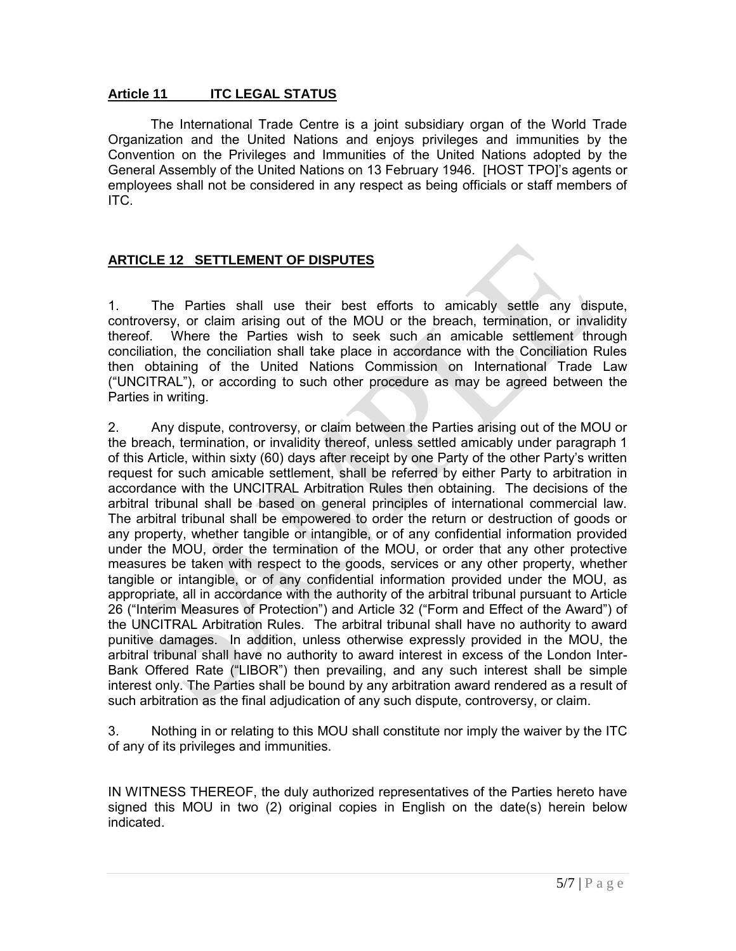### **Article 11 ITC LEGAL STATUS**

The International Trade Centre is a joint subsidiary organ of the World Trade Organization and the United Nations and enjoys privileges and immunities by the Convention on the Privileges and Immunities of the United Nations adopted by the General Assembly of the United Nations on 13 February 1946. [HOST TPO]'s agents or employees shall not be considered in any respect as being officials or staff members of ITC.

## **ARTICLE 12 SETTLEMENT OF DISPUTES**

1. The Parties shall use their best efforts to amicably settle any dispute, controversy, or claim arising out of the MOU or the breach, termination, or invalidity thereof. Where the Parties wish to seek such an amicable settlement through conciliation, the conciliation shall take place in accordance with the Conciliation Rules then obtaining of the United Nations Commission on International Trade Law ("UNCITRAL"), or according to such other procedure as may be agreed between the Parties in writing.

2. Any dispute, controversy, or claim between the Parties arising out of the MOU or the breach, termination, or invalidity thereof, unless settled amicably under paragraph 1 of this Article, within sixty (60) days after receipt by one Party of the other Party's written request for such amicable settlement, shall be referred by either Party to arbitration in accordance with the UNCITRAL Arbitration Rules then obtaining. The decisions of the arbitral tribunal shall be based on general principles of international commercial law. The arbitral tribunal shall be empowered to order the return or destruction of goods or any property, whether tangible or intangible, or of any confidential information provided under the MOU, order the termination of the MOU, or order that any other protective measures be taken with respect to the goods, services or any other property, whether tangible or intangible, or of any confidential information provided under the MOU, as appropriate, all in accordance with the authority of the arbitral tribunal pursuant to Article 26 ("Interim Measures of Protection") and Article 32 ("Form and Effect of the Award") of the UNCITRAL Arbitration Rules. The arbitral tribunal shall have no authority to award punitive damages. In addition, unless otherwise expressly provided in the MOU, the arbitral tribunal shall have no authority to award interest in excess of the London Inter-Bank Offered Rate ("LIBOR") then prevailing, and any such interest shall be simple interest only. The Parties shall be bound by any arbitration award rendered as a result of such arbitration as the final adjudication of any such dispute, controversy, or claim.

3. Nothing in or relating to this MOU shall constitute nor imply the waiver by the ITC of any of its privileges and immunities.

IN WITNESS THEREOF, the duly authorized representatives of the Parties hereto have signed this MOU in two (2) original copies in English on the date(s) herein below indicated.